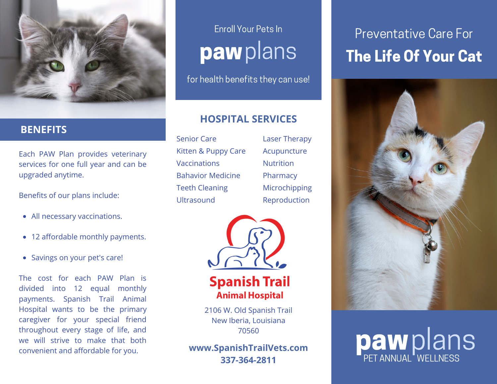

### **BENEFITS**

Each PAW Plan provides veterinary services for one full year and can be upgraded anytime.

Benefits of our plans include:

- All necessary vaccinations.
- 12 affordable monthly payments.
- Savings on your pet's care!

The cost for each PAW Plan is divided into 12 equal monthly payments. Spanish Trail Animal Hospital wants to be the primary caregiver for your special friend throughout every stage of life, and we will strive to make that both convenient and affordable for you.

## Enroll Your Pets In pawplans

for health benefits they can use!

### **HOSPITAL SERVICES**

Senior Care Kitten & Puppy Care Vaccinations Bahavior Medicine Teeth Cleaning Ultrasound

Laser Therapy Acupuncture **Nutrition** Pharmacy Microchipping Reproduction



**Spanish Trail Animal Hospital** 

2106 W. Old Spanish Trail New Iberia, Louisiana 70560

**www.SpanishTrailVets.com 337-364-2811**

## The Life Of Your Cat Preventative Care For



# **paw**plans PET ANNUAL<sup>"</sup> WELLNESS